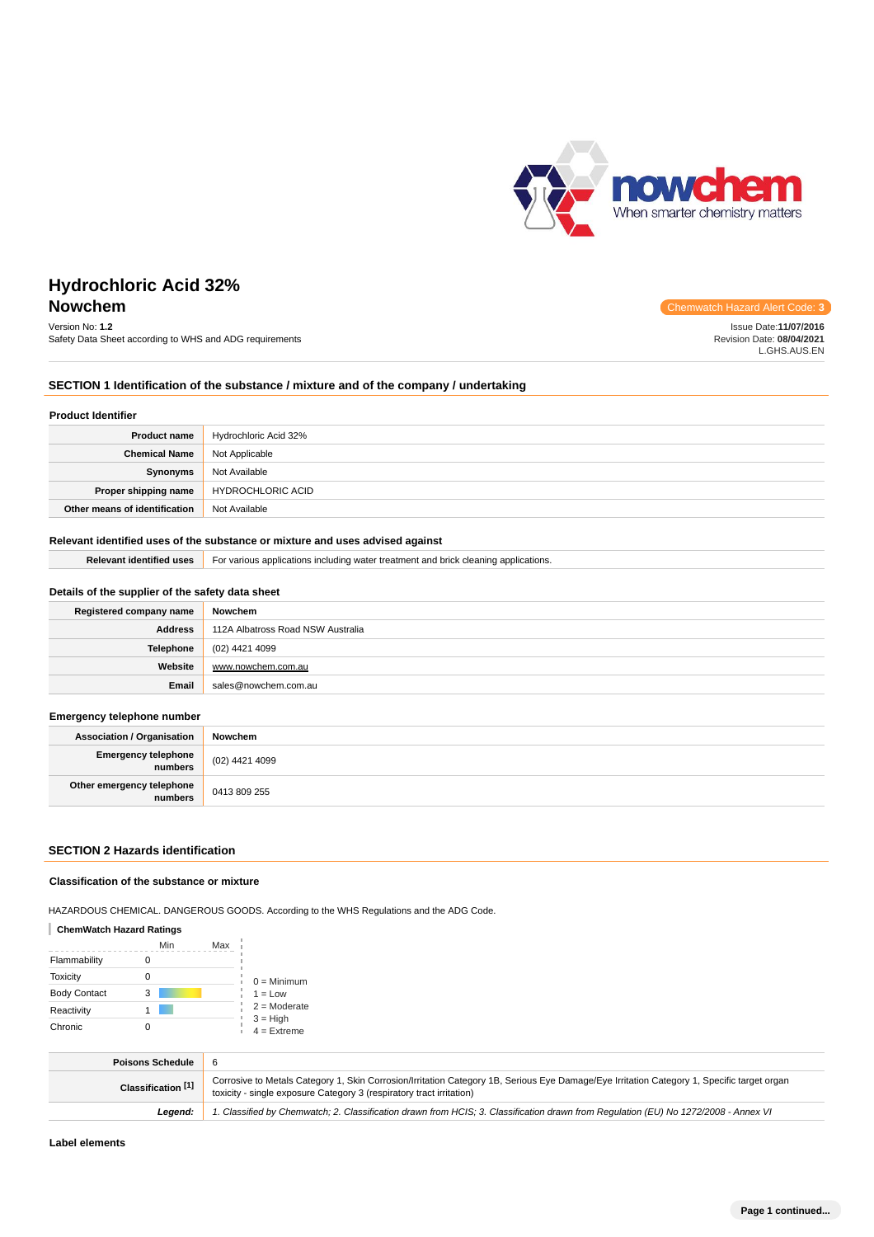

# **Hydrochloric Acid 32% Nowchem** Chemwatch Hazard Alert Code: **3**

# Version No: **1.2**

Safety Data Sheet according to WHS and ADG requirements

Issue Date:**11/07/2016**

Revision Date: **08/04/2021** L.GHS.AUS.EN

**SECTION 1 Identification of the substance / mixture and of the company / undertaking**

#### **Product Identifier**

| <b>Product name</b>           | Hydrochloric Acid 32% |
|-------------------------------|-----------------------|
| <b>Chemical Name</b>          | Not Applicable        |
| Synonyms                      | Not Available         |
| Proper shipping name          | HYDROCHLORIC ACID     |
| Other means of identification | Not Available         |

# **Relevant identified uses of the substance or mixture and uses advised against**

**Relevant identified uses** For various applications including water treatment and brick cleaning applications.

| Details of the supplier of the safety data sheet |                                   |  |
|--------------------------------------------------|-----------------------------------|--|
| Registered company name                          | Nowchem                           |  |
| <b>Address</b>                                   | 112A Albatross Road NSW Australia |  |
| <b>Telephone</b>                                 | (02) 4421 4099                    |  |
| Website                                          | www.nowchem.com.au                |  |
| Email                                            | sales@nowchem.com.au              |  |

#### **Emergency telephone number**

| <b>Association / Organisation</b>              | Nowchem        |
|------------------------------------------------|----------------|
| <b>Emergency telephone</b><br><b> </b> numbers | (02) 4421 4099 |
| Other emergency telephone<br>numbers           | 0413 809 255   |

# **SECTION 2 Hazards identification**

## **Classification of the substance or mixture**

HAZARDOUS CHEMICAL. DANGEROUS GOODS. According to the WHS Regulations and the ADG Code.

# **ChemWatch Hazard Ratings**

|                     | Min | Max |                             |
|---------------------|-----|-----|-----------------------------|
| Flammability        |     |     |                             |
| <b>Toxicity</b>     |     |     | $0 =$ Minimum               |
| <b>Body Contact</b> | 3   |     | $1 = Low$                   |
| Reactivity          |     |     | $2 =$ Moderate              |
| Chronic             |     |     | $3 = High$<br>$4 =$ Extreme |

| <b>Poisons Schedule</b> |                                                                                                                                                                                                                    |
|-------------------------|--------------------------------------------------------------------------------------------------------------------------------------------------------------------------------------------------------------------|
| Classification [1]      | Corrosive to Metals Category 1, Skin Corrosion/Irritation Category 1B, Serious Eye Damage/Eye Irritation Category 1, Specific target organ<br>toxicity - single exposure Category 3 (respiratory tract irritation) |
| Leaend:                 | 1. Classified by Chemwatch; 2. Classification drawn from HCIS; 3. Classification drawn from Requlation (EU) No 1272/2008 - Annex VI                                                                                |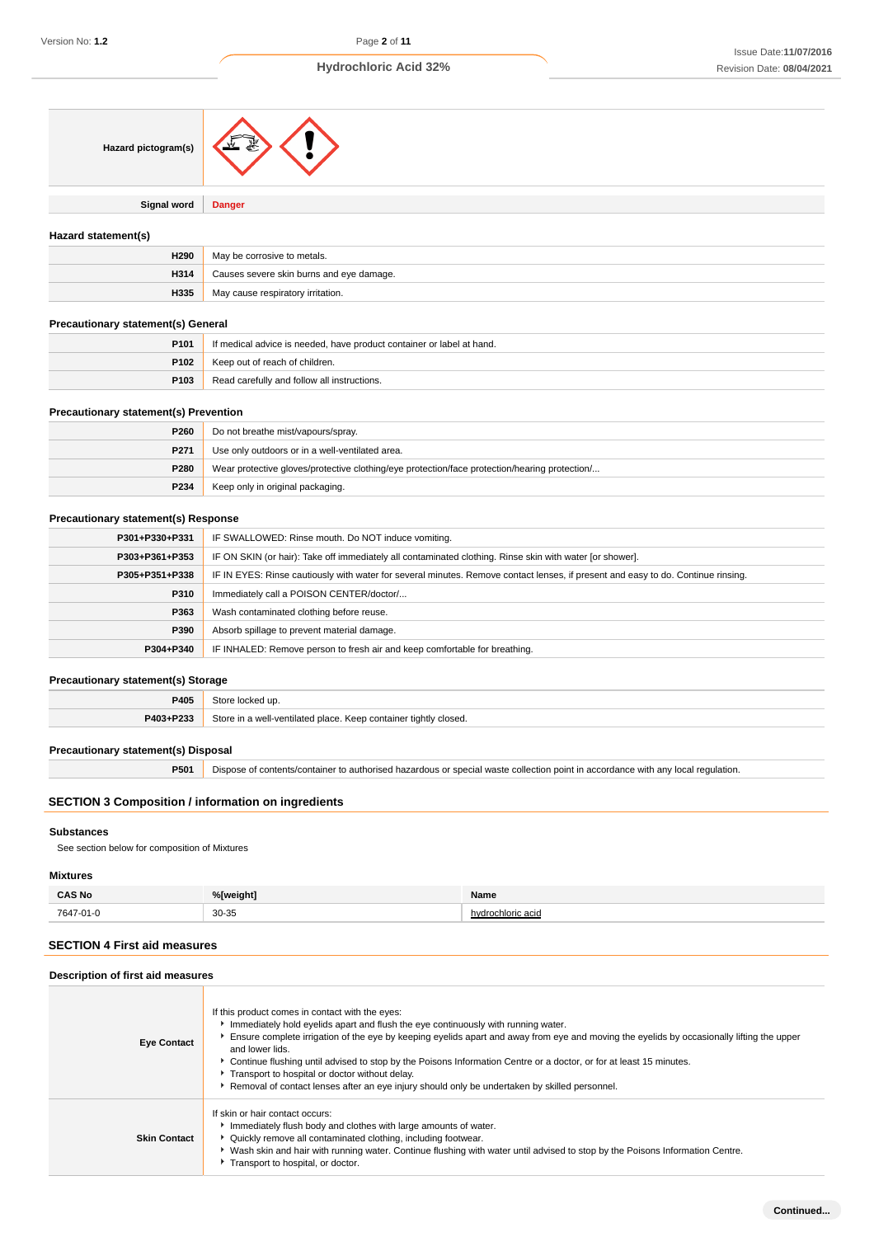| Hazard pictogram(s)                          |                                                                                                                                  |
|----------------------------------------------|----------------------------------------------------------------------------------------------------------------------------------|
| Signal word                                  | <b>Danger</b>                                                                                                                    |
| Hazard statement(s)                          |                                                                                                                                  |
| H <sub>290</sub>                             | May be corrosive to metals.                                                                                                      |
| H314                                         | Causes severe skin burns and eye damage.                                                                                         |
| H335                                         | May cause respiratory irritation.                                                                                                |
| <b>Precautionary statement(s) General</b>    |                                                                                                                                  |
| P101                                         | If medical advice is needed, have product container or label at hand.                                                            |
| P102                                         | Keep out of reach of children.                                                                                                   |
| P103                                         | Read carefully and follow all instructions.                                                                                      |
| <b>Precautionary statement(s) Prevention</b> |                                                                                                                                  |
| P <sub>260</sub>                             | Do not breathe mist/vapours/spray.                                                                                               |
| P271                                         | Use only outdoors or in a well-ventilated area.                                                                                  |
| P280                                         | Wear protective gloves/protective clothing/eye protection/face protection/hearing protection/                                    |
| P234                                         | Keep only in original packaging.                                                                                                 |
| <b>Precautionary statement(s) Response</b>   |                                                                                                                                  |
| P301+P330+P331                               | IF SWALLOWED: Rinse mouth. Do NOT induce vomiting.                                                                               |
| P303+P361+P353                               | IF ON SKIN (or hair): Take off immediately all contaminated clothing. Rinse skin with water [or shower].                         |
| P305+P351+P338                               | IF IN EYES: Rinse cautiously with water for several minutes. Remove contact lenses, if present and easy to do. Continue rinsing. |
| P310                                         | Immediately call a POISON CENTER/doctor/                                                                                         |
| P363                                         | Wash contaminated clothing before reuse.                                                                                         |
| P390                                         | Absorb spillage to prevent material damage.                                                                                      |
| P304+P340                                    | IF INHALED: Remove person to fresh air and keep comfortable for breathing.                                                       |
| <b>Precautionary statement(s) Storage</b>    |                                                                                                                                  |
| P405                                         | Store locked up.                                                                                                                 |
| P403+P233                                    | Store in a well-ventilated place. Keep container tightly closed.                                                                 |
| <b>Precautionary statement(s) Disposal</b>   |                                                                                                                                  |
| P501                                         | Dispose of contents/container to authorised hazardous or special waste collection point in accordance with any local regulation. |

# **SECTION 3 Composition / information on ingredients**

# **Substances**

See section below for composition of Mixtures

# **Mixtures**

| <b>CAS No</b><br>. | %[weight]  | Name              |
|--------------------|------------|-------------------|
| 7647-01-0          | 30-35<br>. | hydrochloric acid |

# **SECTION 4 First aid measures**

| Description of first aid measures |                                                                                                                                                                                                                                                                                                                                                                                                                                                                                                                                                                                   |  |  |
|-----------------------------------|-----------------------------------------------------------------------------------------------------------------------------------------------------------------------------------------------------------------------------------------------------------------------------------------------------------------------------------------------------------------------------------------------------------------------------------------------------------------------------------------------------------------------------------------------------------------------------------|--|--|
| <b>Eye Contact</b>                | If this product comes in contact with the eyes:<br>Immediately hold eyelids apart and flush the eye continuously with running water.<br>Ensure complete irrigation of the eye by keeping eyelids apart and away from eye and moving the eyelids by occasionally lifting the upper<br>and lower lids.<br>▶ Continue flushing until advised to stop by the Poisons Information Centre or a doctor, or for at least 15 minutes.<br>Transport to hospital or doctor without delay.<br>▶ Removal of contact lenses after an eye injury should only be undertaken by skilled personnel. |  |  |
| <b>Skin Contact</b>               | If skin or hair contact occurs:<br>Inmediately flush body and clothes with large amounts of water.<br>• Quickly remove all contaminated clothing, including footwear.<br>▶ Wash skin and hair with running water. Continue flushing with water until advised to stop by the Poisons Information Centre.<br>Transport to hospital, or doctor.                                                                                                                                                                                                                                      |  |  |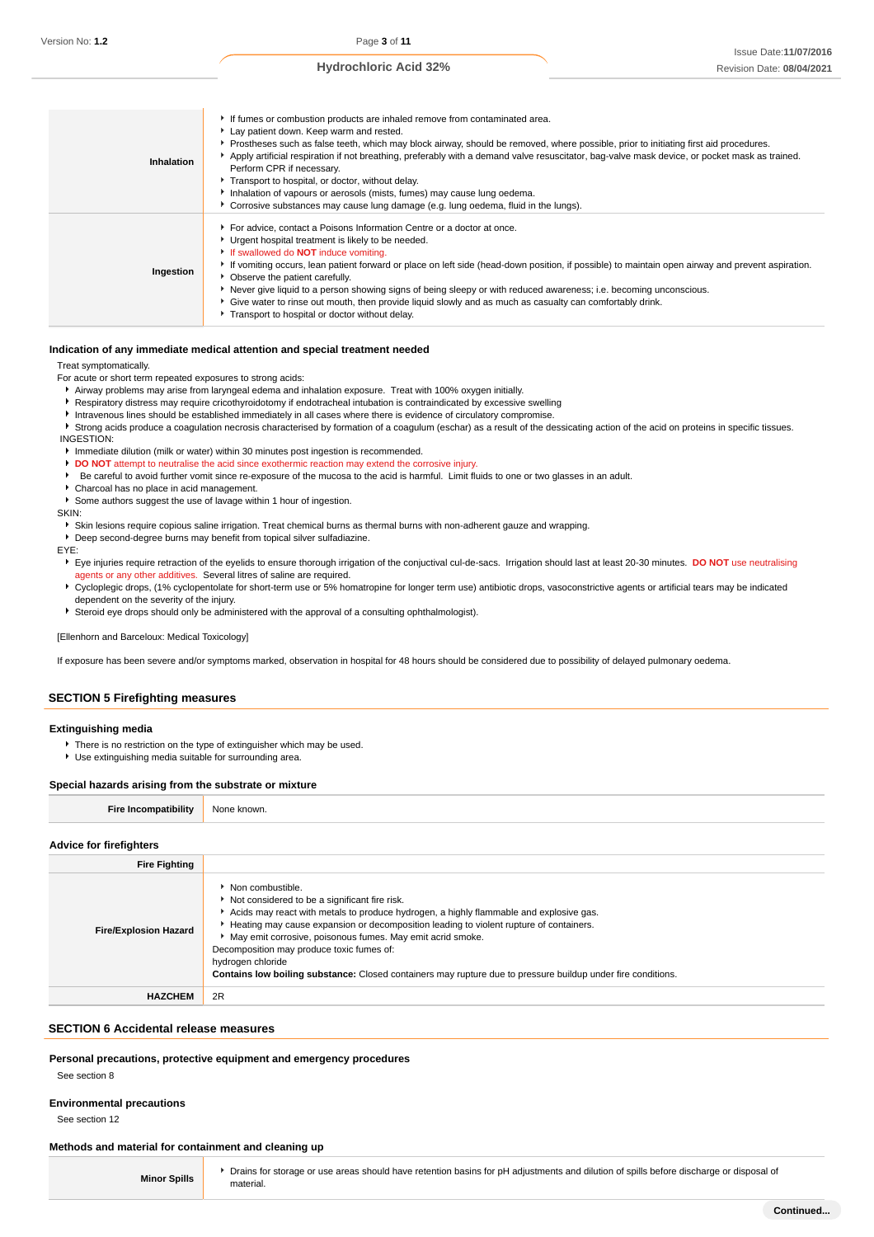| Inhalation | If fumes or combustion products are inhaled remove from contaminated area.<br>Lay patient down. Keep warm and rested.<br>▶ Prostheses such as false teeth, which may block airway, should be removed, where possible, prior to initiating first aid procedures.<br>Apply artificial respiration if not breathing, preferably with a demand valve resuscitator, bag-valve mask device, or pocket mask as trained.<br>Perform CPR if necessary.<br>Transport to hospital, or doctor, without delay.<br>Inhalation of vapours or aerosols (mists, fumes) may cause lung oedema.<br>Corrosive substances may cause lung damage (e.g. lung oedema, fluid in the lungs). |
|------------|--------------------------------------------------------------------------------------------------------------------------------------------------------------------------------------------------------------------------------------------------------------------------------------------------------------------------------------------------------------------------------------------------------------------------------------------------------------------------------------------------------------------------------------------------------------------------------------------------------------------------------------------------------------------|
| Ingestion  | For advice, contact a Poisons Information Centre or a doctor at once.<br>• Urgent hospital treatment is likely to be needed.<br>If swallowed do <b>NOT</b> induce vomiting.<br>If vomiting occurs, lean patient forward or place on left side (head-down position, if possible) to maintain open airway and prevent aspiration.<br>• Observe the patient carefully.<br>▶ Never give liquid to a person showing signs of being sleepy or with reduced awareness; i.e. becoming unconscious.<br>• Give water to rinse out mouth, then provide liquid slowly and as much as casualty can comfortably drink.<br>Transport to hospital or doctor without delay.         |

## **Indication of any immediate medical attention and special treatment needed**

Treat symptomatically.

For acute or short term repeated exposures to strong acids:

Airway problems may arise from laryngeal edema and inhalation exposure. Treat with 100% oxygen initially.

Respiratory distress may require cricothyroidotomy if endotracheal intubation is contraindicated by excessive swelling

Intravenous lines should be established immediately in all cases where there is evidence of circulatory compromise.

Strong acids produce a coagulation necrosis characterised by formation of a coagulum (eschar) as a result of the dessicating action of the acid on proteins in specific tissues. INGESTION:

Immediate dilution (milk or water) within 30 minutes post ingestion is recommended.

**DO NOT** attempt to neutralise the acid since exothermic reaction may extend the corrosive injury.

Be careful to avoid further vomit since re-exposure of the mucosa to the acid is harmful. Limit fluids to one or two glasses in an adult.

Charcoal has no place in acid management.

Some authors suggest the use of lavage within 1 hour of ingestion.

SKIN:

Skin lesions require copious saline irrigation. Treat chemical burns as thermal burns with non-adherent gauze and wrapping.

Deep second-degree burns may benefit from topical silver sulfadiazine.

#### EYE:

Eye injuries require retraction of the eyelids to ensure thorough irrigation of the conjuctival cul-de-sacs. Irrigation should last at least 20-30 minutes. **DO NOT** use neutralising agents or any other additives. Several litres of saline are required.

- 
- ▶ Cycloplegic drops, (1% cyclopentolate for short-term use or 5% homatropine for longer term use) antibiotic drops, vasoconstrictive agents or artificial tears may be indicated dependent on the severity of the injury.

Steroid eye drops should only be administered with the approval of a consulting ophthalmologist).

#### [Ellenhorn and Barceloux: Medical Toxicology]

If exposure has been severe and/or symptoms marked, observation in hospital for 48 hours should be considered due to possibility of delayed pulmonary oedema.

# **SECTION 5 Firefighting measures**

# **Extinguishing media**

- There is no restriction on the type of extinguisher which may be used.
- Use extinguishing media suitable for surrounding area.

#### **Special hazards arising from the substrate or mixture**

| Fire<br>. | <b>None</b><br>nwr |
|-----------|--------------------|
|           |                    |

## **Advice for firefighters**

| <b>Fire Fighting</b>         |                                                                                                                                                                                                                                                                                                                                                                                                                                                                                                                |
|------------------------------|----------------------------------------------------------------------------------------------------------------------------------------------------------------------------------------------------------------------------------------------------------------------------------------------------------------------------------------------------------------------------------------------------------------------------------------------------------------------------------------------------------------|
| <b>Fire/Explosion Hazard</b> | • Non combustible.<br>Not considered to be a significant fire risk.<br>Acids may react with metals to produce hydrogen, a highly flammable and explosive gas.<br>Heating may cause expansion or decomposition leading to violent rupture of containers.<br>May emit corrosive, poisonous fumes. May emit acrid smoke.<br>Decomposition may produce toxic fumes of:<br>hydrogen chloride<br><b>Contains low boiling substance:</b> Closed containers may rupture due to pressure buildup under fire conditions. |
| <b>HAZCHEM</b>               | 2R                                                                                                                                                                                                                                                                                                                                                                                                                                                                                                             |

## **SECTION 6 Accidental release measures**

## **Personal precautions, protective equipment and emergency procedures**

See section 8

#### **Environmental precautions**

See section 12

# **Methods and material for containment and cleaning up**

| <b>Minor Spills</b> |  |
|---------------------|--|
|---------------------|--|

Drains for storage or use areas should have retention basins for pH adjustments and dilution of spills before discharge or disposal of material.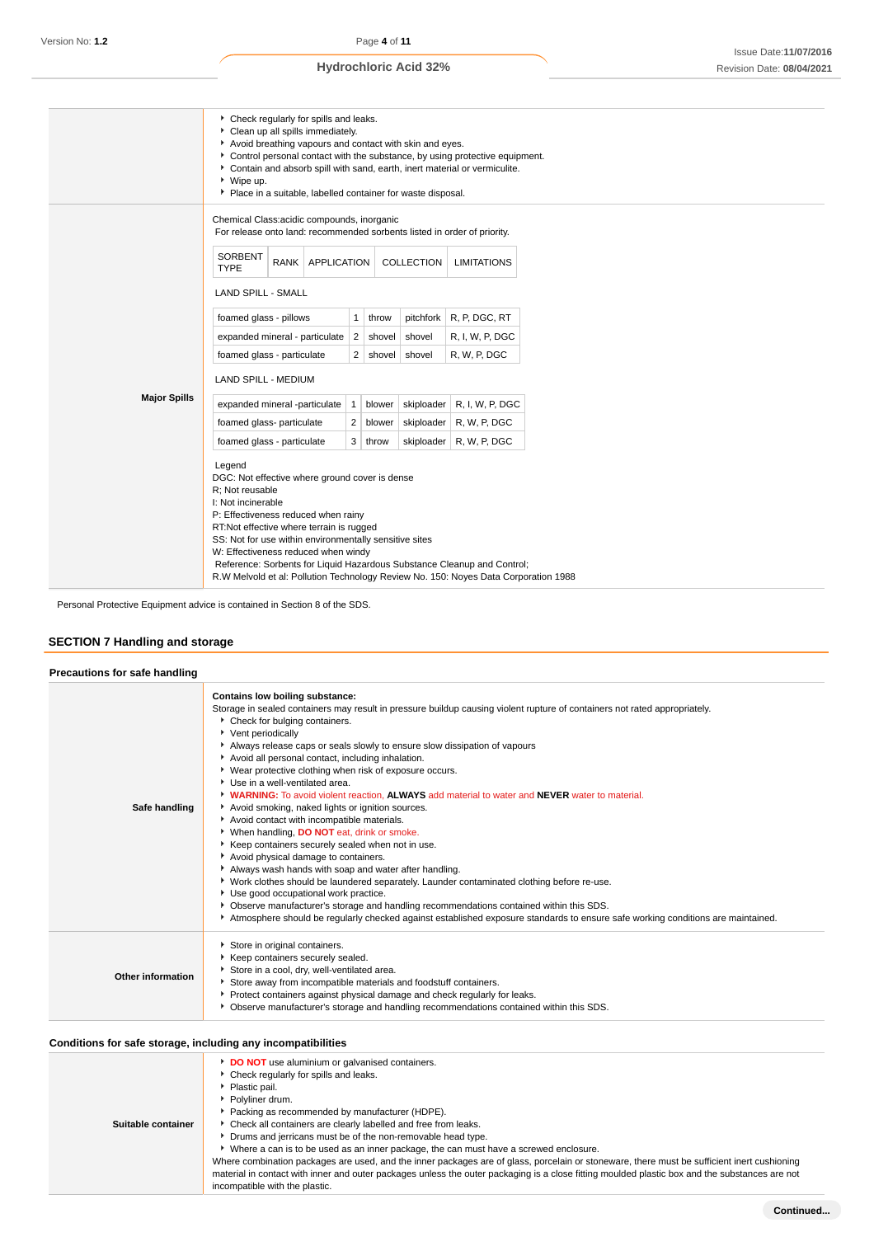|                     | • Check regularly for spills and leaks.<br>Clean up all spills immediately.<br>Avoid breathing vapours and contact with skin and eyes.<br>Control personal contact with the substance, by using protective equipment.<br>Contain and absorb spill with sand, earth, inert material or vermiculite.<br>▶ Wipe up.<br>Place in a suitable, labelled container for waste disposal.                                                                         |      |                    |        |            |                 |                                                                          |  |
|---------------------|---------------------------------------------------------------------------------------------------------------------------------------------------------------------------------------------------------------------------------------------------------------------------------------------------------------------------------------------------------------------------------------------------------------------------------------------------------|------|--------------------|--------|------------|-----------------|--------------------------------------------------------------------------|--|
|                     | Chemical Class:acidic compounds, inorganic                                                                                                                                                                                                                                                                                                                                                                                                              |      |                    |        |            |                 | For release onto land: recommended sorbents listed in order of priority. |  |
|                     | <b>SORBENT</b><br><b>TYPE</b>                                                                                                                                                                                                                                                                                                                                                                                                                           | RANK | <b>APPLICATION</b> |        |            | COLLECTION      | <b>LIMITATIONS</b>                                                       |  |
|                     | <b>LAND SPILL - SMALL</b>                                                                                                                                                                                                                                                                                                                                                                                                                               |      |                    |        |            |                 |                                                                          |  |
|                     | foamed glass - pillows                                                                                                                                                                                                                                                                                                                                                                                                                                  |      | $\mathbf{1}$       | throw  | pitchfork  | R, P, DGC, RT   |                                                                          |  |
|                     | expanded mineral - particulate                                                                                                                                                                                                                                                                                                                                                                                                                          |      | 2                  | shovel | shovel     | R, I, W, P, DGC |                                                                          |  |
|                     | foamed glass - particulate                                                                                                                                                                                                                                                                                                                                                                                                                              |      | 2                  | shovel | shovel     | R, W, P, DGC    |                                                                          |  |
|                     | <b>LAND SPILL - MEDIUM</b>                                                                                                                                                                                                                                                                                                                                                                                                                              |      |                    |        |            |                 |                                                                          |  |
| <b>Major Spills</b> | expanded mineral -particulate                                                                                                                                                                                                                                                                                                                                                                                                                           |      | $\mathbf{1}$       | blower | skiploader | R. I. W. P. DGC |                                                                          |  |
|                     | foamed glass- particulate                                                                                                                                                                                                                                                                                                                                                                                                                               |      | $\overline{2}$     | blower | skiploader | R, W, P, DGC    |                                                                          |  |
|                     | foamed glass - particulate                                                                                                                                                                                                                                                                                                                                                                                                                              |      | 3                  | throw  | skiploader | R, W, P, DGC    |                                                                          |  |
|                     | Legend<br>DGC: Not effective where ground cover is dense<br>R: Not reusable<br>I: Not incinerable<br>P: Effectiveness reduced when rainy<br>RT:Not effective where terrain is rugged<br>SS: Not for use within environmentally sensitive sites<br>W: Effectiveness reduced when windy<br>Reference: Sorbents for Liquid Hazardous Substance Cleanup and Control;<br>R.W Melvold et al: Pollution Technology Review No. 150: Noyes Data Corporation 1988 |      |                    |        |            |                 |                                                                          |  |

Personal Protective Equipment advice is contained in Section 8 of the SDS.

# **SECTION 7 Handling and storage**

| Precautions for safe handling |                                                                                                                                                                                                                                                                                                                                                                                                                                                                                                                                                                                                                                                                                                                                                                                                                                                                                                                                                                                                                                                                                                                                                                                                                                        |
|-------------------------------|----------------------------------------------------------------------------------------------------------------------------------------------------------------------------------------------------------------------------------------------------------------------------------------------------------------------------------------------------------------------------------------------------------------------------------------------------------------------------------------------------------------------------------------------------------------------------------------------------------------------------------------------------------------------------------------------------------------------------------------------------------------------------------------------------------------------------------------------------------------------------------------------------------------------------------------------------------------------------------------------------------------------------------------------------------------------------------------------------------------------------------------------------------------------------------------------------------------------------------------|
| Safe handling                 | Contains low boiling substance:<br>Storage in sealed containers may result in pressure buildup causing violent rupture of containers not rated appropriately.<br>Check for bulging containers.<br>Vent periodically<br>Always release caps or seals slowly to ensure slow dissipation of vapours<br>Avoid all personal contact, including inhalation.<br>▶ Wear protective clothing when risk of exposure occurs.<br>Use in a well-ventilated area.<br><b>WARNING:</b> To avoid violent reaction. ALWAYS add material to water and NEVER water to material.<br>Avoid smoking, naked lights or ignition sources.<br>Avoid contact with incompatible materials.<br>When handling, DO NOT eat, drink or smoke.<br>Keep containers securely sealed when not in use.<br>Avoid physical damage to containers.<br>Always wash hands with soap and water after handling.<br>▶ Work clothes should be laundered separately. Launder contaminated clothing before re-use.<br>Use good occupational work practice.<br>▶ Observe manufacturer's storage and handling recommendations contained within this SDS.<br>Atmosphere should be regularly checked against established exposure standards to ensure safe working conditions are maintained. |
| Other information             | Store in original containers.<br>Keep containers securely sealed.<br>Store in a cool, dry, well-ventilated area.<br>Store away from incompatible materials and foodstuff containers.<br>Protect containers against physical damage and check regularly for leaks.<br>• Observe manufacturer's storage and handling recommendations contained within this SDS.                                                                                                                                                                                                                                                                                                                                                                                                                                                                                                                                                                                                                                                                                                                                                                                                                                                                          |

# **Conditions for safe storage, including any incompatibilities**

| conditions for said storage, including any incompationates                                                                                                                                                                                                                                                                                                                                                                                                                                                                                                                                                                                                                                                                                            |
|-------------------------------------------------------------------------------------------------------------------------------------------------------------------------------------------------------------------------------------------------------------------------------------------------------------------------------------------------------------------------------------------------------------------------------------------------------------------------------------------------------------------------------------------------------------------------------------------------------------------------------------------------------------------------------------------------------------------------------------------------------|
| <b>DO NOT</b> use aluminium or galvanised containers.<br>Check regularly for spills and leaks.<br>Plastic pail.<br>Polyliner drum.<br>Packing as recommended by manufacturer (HDPE).<br>Check all containers are clearly labelled and free from leaks.<br>• Drums and jerricans must be of the non-removable head type.<br>► Where a can is to be used as an inner package, the can must have a screwed enclosure.<br>Where combination packages are used, and the inner packages are of glass, porcelain or stoneware, there must be sufficient inert cushioning<br>material in contact with inner and outer packages unless the outer packaging is a close fitting moulded plastic box and the substances are not<br>incompatible with the plastic. |
|                                                                                                                                                                                                                                                                                                                                                                                                                                                                                                                                                                                                                                                                                                                                                       |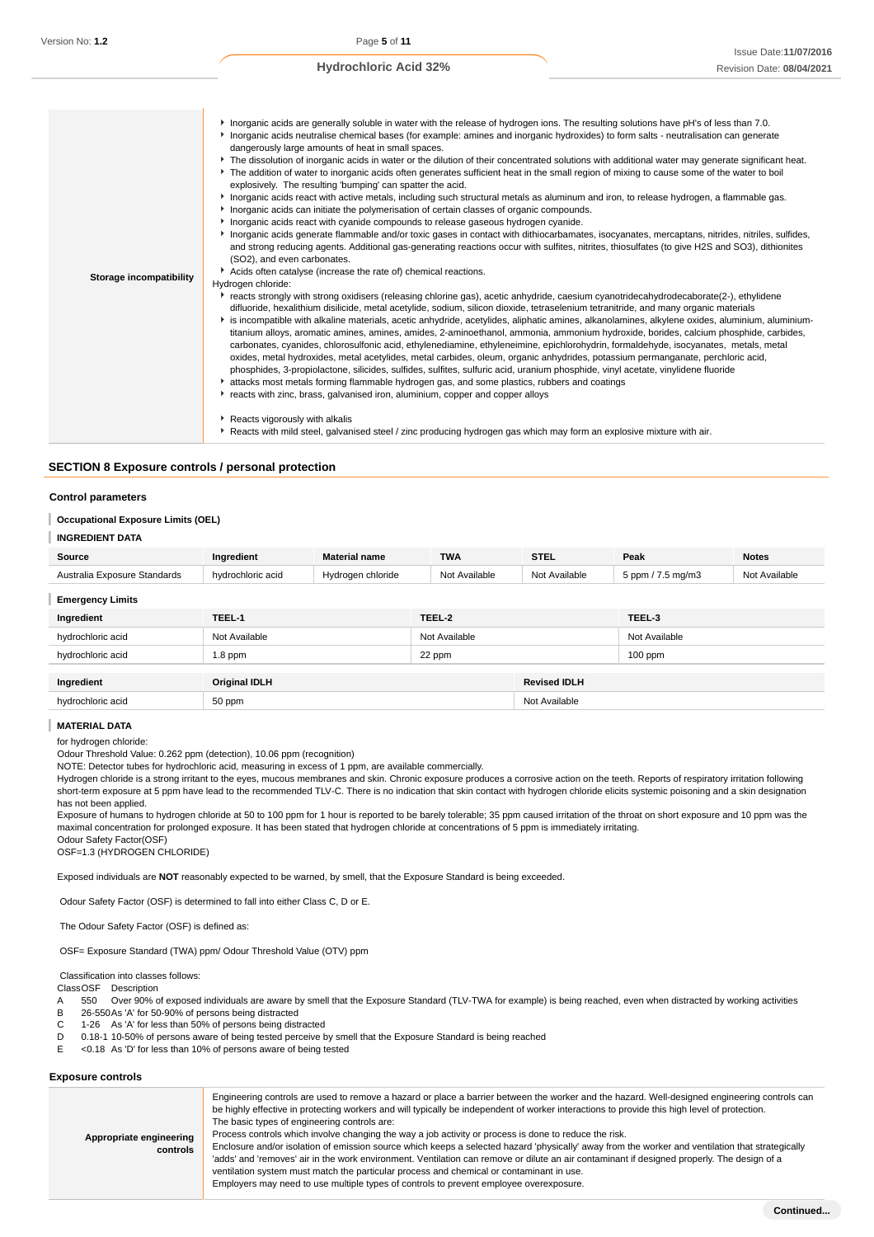| Storage incompatibility | Inorganic acids are generally soluble in water with the release of hydrogen ions. The resulting solutions have pH's of less than 7.0.<br>Inorganic acids neutralise chemical bases (for example: amines and inorganic hydroxides) to form salts - neutralisation can generate<br>dangerously large amounts of heat in small spaces.<br>▶ The dissolution of inorganic acids in water or the dilution of their concentrated solutions with additional water may generate significant heat.<br>▶ The addition of water to inorganic acids often generates sufficient heat in the small region of mixing to cause some of the water to boil<br>explosively. The resulting 'bumping' can spatter the acid.<br>Inorganic acids react with active metals, including such structural metals as aluminum and iron, to release hydrogen, a flammable gas.<br>Inorganic acids can initiate the polymerisation of certain classes of organic compounds.<br>Inorganic acids react with cyanide compounds to release gaseous hydrogen cyanide.<br>▶ Inorganic acids generate flammable and/or toxic gases in contact with dithiocarbamates, isocyanates, mercaptans, nitrides, nitriles, sulfides,<br>and strong reducing agents. Additional gas-generating reactions occur with sulfites, nitrites, thiosulfates (to give H2S and SO3), dithionites<br>(SO2), and even carbonates.<br>Acids often catalyse (increase the rate of) chemical reactions.<br>Hydrogen chloride:<br>reacts strongly with strong oxidisers (releasing chlorine gas), acetic anhydride, caesium cyanotridecahydrodecaborate(2-), ethylidene<br>difluoride, hexalithium disilicide, metal acetylide, sodium, silicon dioxide, tetraselenium tetranitride, and many organic materials<br>▶ is incompatible with alkaline materials, acetic anhydride, acetylides, aliphatic amines, alkanolamines, alkylene oxides, aluminium, aluminium-<br>titanium alloys, aromatic amines, amines, amides, 2-aminoethanol, ammonia, ammonium hydroxide, borides, calcium phosphide, carbides,<br>carbonates, cyanides, chlorosulfonic acid, ethylenediamine, ethyleneimine, epichlorohydrin, formaldehyde, isocyanates, metals, metal<br>oxides, metal hydroxides, metal acetylides, metal carbides, oleum, organic anhydrides, potassium permanganate, perchloric acid,<br>phosphides, 3-propiolactone, silicides, sulfides, sulfites, sulfuric acid, uranium phosphide, vinyl acetate, vinylidene fluoride<br>* attacks most metals forming flammable hydrogen gas, and some plastics, rubbers and coatings<br>reacts with zinc, brass, galvanised iron, aluminium, copper and copper alloys |
|-------------------------|-----------------------------------------------------------------------------------------------------------------------------------------------------------------------------------------------------------------------------------------------------------------------------------------------------------------------------------------------------------------------------------------------------------------------------------------------------------------------------------------------------------------------------------------------------------------------------------------------------------------------------------------------------------------------------------------------------------------------------------------------------------------------------------------------------------------------------------------------------------------------------------------------------------------------------------------------------------------------------------------------------------------------------------------------------------------------------------------------------------------------------------------------------------------------------------------------------------------------------------------------------------------------------------------------------------------------------------------------------------------------------------------------------------------------------------------------------------------------------------------------------------------------------------------------------------------------------------------------------------------------------------------------------------------------------------------------------------------------------------------------------------------------------------------------------------------------------------------------------------------------------------------------------------------------------------------------------------------------------------------------------------------------------------------------------------------------------------------------------------------------------------------------------------------------------------------------------------------------------------------------------------------------------------------------------------------------------------------------------------------------------------------------------------------------------------------------------------------------------------------------------------------------------------------------------------------------------------------------------------------------------------------------|
|                         | Reacts vigorously with alkalis<br>▶ Reacts with mild steel, galvanised steel / zinc producing hydrogen gas which may form an explosive mixture with air.                                                                                                                                                                                                                                                                                                                                                                                                                                                                                                                                                                                                                                                                                                                                                                                                                                                                                                                                                                                                                                                                                                                                                                                                                                                                                                                                                                                                                                                                                                                                                                                                                                                                                                                                                                                                                                                                                                                                                                                                                                                                                                                                                                                                                                                                                                                                                                                                                                                                                      |

# **SECTION 8 Exposure controls / personal protection**

#### **Control parameters**

# **Occupational Exposure Limits (OEL)**

#### **INGREDIENT DATA** I

| Source                       | Ingredient           | <b>Material name</b> | <b>TWA</b>    | <b>STEL</b>         | Peak              | <b>Notes</b>  |
|------------------------------|----------------------|----------------------|---------------|---------------------|-------------------|---------------|
| Australia Exposure Standards | hydrochloric acid    | Hydrogen chloride    | Not Available | Not Available       | 5 ppm / 7.5 mg/m3 | Not Available |
| <b>Emergency Limits</b>      |                      |                      |               |                     |                   |               |
| Ingredient                   | TEEL-1               |                      | TEEL-2        |                     | TEEL-3            |               |
| hydrochloric acid            | Not Available        |                      | Not Available |                     | Not Available     |               |
| hydrochloric acid            | $1.8$ ppm            |                      | 22 ppm        |                     | $100$ ppm         |               |
|                              |                      |                      |               |                     |                   |               |
| Ingredient                   | <b>Original IDLH</b> |                      |               | <b>Revised IDLH</b> |                   |               |
| hydrochloric acid            | 50 ppm               |                      |               | Not Available       |                   |               |

#### **MATERIAL DATA** ı

#### for hydrogen chloride:

Odour Threshold Value: 0.262 ppm (detection), 10.06 ppm (recognition)

NOTE: Detector tubes for hydrochloric acid, measuring in excess of 1 ppm, are available commercially.

Hydrogen chloride is a strong irritant to the eyes, mucous membranes and skin. Chronic exposure produces a corrosive action on the teeth. Reports of respiratory irritation following short-term exposure at 5 ppm have lead to the recommended TLV-C. There is no indication that skin contact with hydrogen chloride elicits systemic poisoning and a skin designation has not been applied.

Exposure of humans to hydrogen chloride at 50 to 100 ppm for 1 hour is reported to be barely tolerable; 35 ppm caused irritation of the throat on short exposure and 10 ppm was the maximal concentration for prolonged exposure. It has been stated that hydrogen chloride at concentrations of 5 ppm is immediately irritating.

Odour Safety Factor(OSF) OSF=1.3 (HYDROGEN CHLORIDE)

Exposed individuals are **NOT** reasonably expected to be warned, by smell, that the Exposure Standard is being exceeded.

Odour Safety Factor (OSF) is determined to fall into either Class C, D or E.

The Odour Safety Factor (OSF) is defined as:

OSF= Exposure Standard (TWA) ppm/ Odour Threshold Value (OTV) ppm

Classification into classes follows:

ClassOSF Description

- A 550 Over 90% of exposed individuals are aware by smell that the Exposure Standard (TLV-TWA for example) is being reached, even when distracted by working activities
- B 26-550As 'A' for 50-90% of persons being distracted
- C 1-26 As 'A' for less than 50% of persons being distracted
- D 0.18-1 10-50% of persons aware of being tested perceive by smell that the Exposure Standard is being reached
- E <0.18 As 'D' for less than 10% of persons aware of being tested

# **Exposure controls**

| Appropriate engineering<br>controls | Engineering controls are used to remove a hazard or place a barrier between the worker and the hazard. Well-designed engineering controls can<br>be highly effective in protecting workers and will typically be independent of worker interactions to provide this high level of protection.<br>The basic types of engineering controls are:<br>Process controls which involve changing the way a job activity or process is done to reduce the risk.<br>Enclosure and/or isolation of emission source which keeps a selected hazard 'physically' away from the worker and ventilation that strategically<br>'adds' and 'removes' air in the work environment. Ventilation can remove or dilute an air contaminant if designed properly. The design of a<br>ventilation system must match the particular process and chemical or contaminant in use.<br>Employers may need to use multiple types of controls to prevent employee overexposure. |
|-------------------------------------|-------------------------------------------------------------------------------------------------------------------------------------------------------------------------------------------------------------------------------------------------------------------------------------------------------------------------------------------------------------------------------------------------------------------------------------------------------------------------------------------------------------------------------------------------------------------------------------------------------------------------------------------------------------------------------------------------------------------------------------------------------------------------------------------------------------------------------------------------------------------------------------------------------------------------------------------------|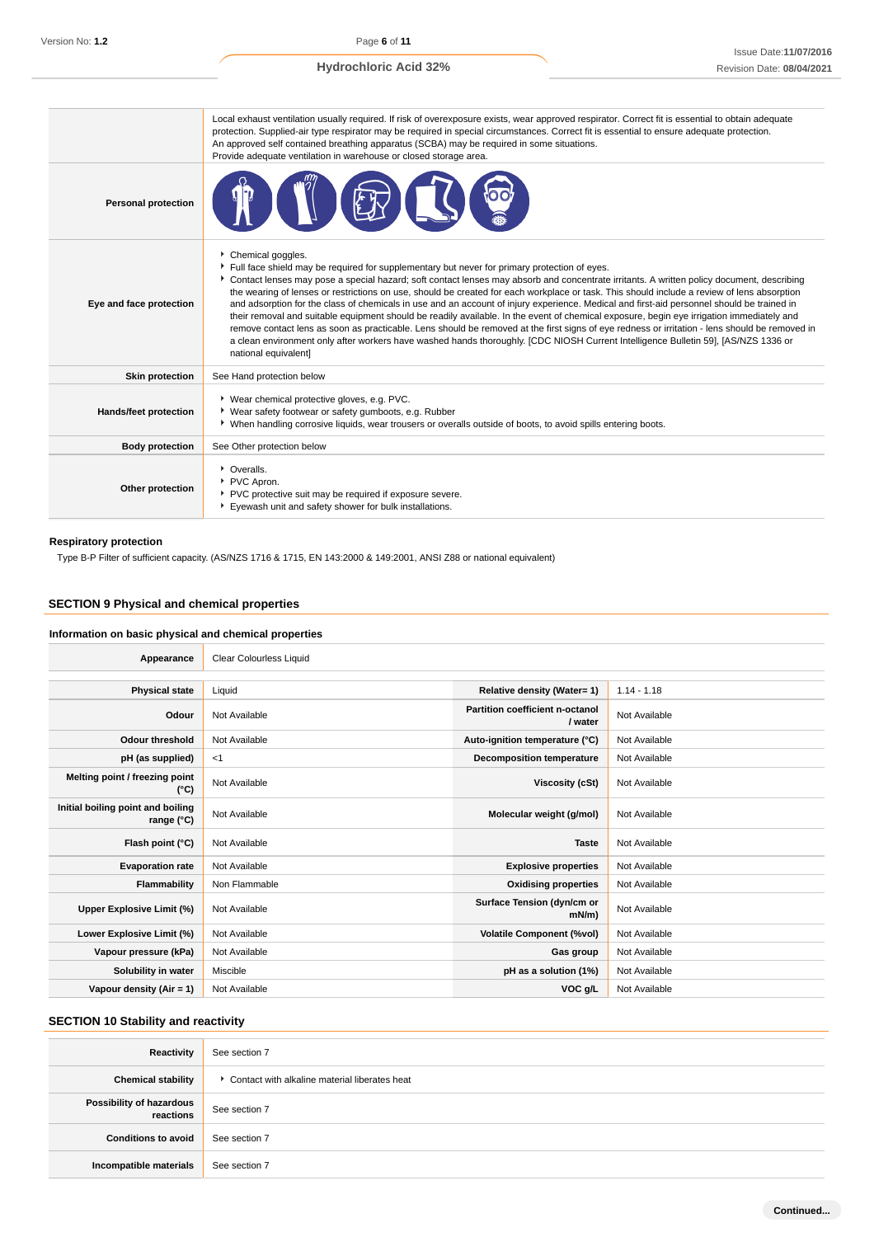|                              | Local exhaust ventilation usually required. If risk of overexposure exists, wear approved respirator. Correct fit is essential to obtain adequate<br>protection. Supplied-air type respirator may be required in special circumstances. Correct fit is essential to ensure adequate protection.<br>An approved self contained breathing apparatus (SCBA) may be required in some situations.<br>Provide adequate ventilation in warehouse or closed storage area.                                                                                                                                                                                                                                                                                                                                                                                                                                                                                                                                                        |
|------------------------------|--------------------------------------------------------------------------------------------------------------------------------------------------------------------------------------------------------------------------------------------------------------------------------------------------------------------------------------------------------------------------------------------------------------------------------------------------------------------------------------------------------------------------------------------------------------------------------------------------------------------------------------------------------------------------------------------------------------------------------------------------------------------------------------------------------------------------------------------------------------------------------------------------------------------------------------------------------------------------------------------------------------------------|
| <b>Personal protection</b>   |                                                                                                                                                                                                                                                                                                                                                                                                                                                                                                                                                                                                                                                                                                                                                                                                                                                                                                                                                                                                                          |
| Eye and face protection      | Chemical goggles.<br>Full face shield may be required for supplementary but never for primary protection of eyes.<br>Contact lenses may pose a special hazard; soft contact lenses may absorb and concentrate irritants. A written policy document, describing<br>the wearing of lenses or restrictions on use, should be created for each workplace or task. This should include a review of lens absorption<br>and adsorption for the class of chemicals in use and an account of injury experience. Medical and first-aid personnel should be trained in<br>their removal and suitable equipment should be readily available. In the event of chemical exposure, begin eye irrigation immediately and<br>remove contact lens as soon as practicable. Lens should be removed at the first signs of eye redness or irritation - lens should be removed in<br>a clean environment only after workers have washed hands thoroughly. [CDC NIOSH Current Intelligence Bulletin 59], [AS/NZS 1336 or<br>national equivalent] |
| <b>Skin protection</b>       | See Hand protection below                                                                                                                                                                                                                                                                                                                                                                                                                                                                                                                                                                                                                                                                                                                                                                                                                                                                                                                                                                                                |
| <b>Hands/feet protection</b> | ▶ Wear chemical protective gloves, e.g. PVC.<br>▶ Wear safety footwear or safety gumboots, e.g. Rubber<br>▶ When handling corrosive liquids, wear trousers or overalls outside of boots, to avoid spills entering boots.                                                                                                                                                                                                                                                                                                                                                                                                                                                                                                                                                                                                                                                                                                                                                                                                 |
| <b>Body protection</b>       | See Other protection below                                                                                                                                                                                                                                                                                                                                                                                                                                                                                                                                                                                                                                                                                                                                                                                                                                                                                                                                                                                               |
| Other protection             | • Overalls.<br>PVC Apron.<br>PVC protective suit may be required if exposure severe.<br>Eyewash unit and safety shower for bulk installations.                                                                                                                                                                                                                                                                                                                                                                                                                                                                                                                                                                                                                                                                                                                                                                                                                                                                           |

# **Respiratory protection**

Type B-P Filter of sufficient capacity. (AS/NZS 1716 & 1715, EN 143:2000 & 149:2001, ANSI Z88 or national equivalent)

# **SECTION 9 Physical and chemical properties**

# **Information on basic physical and chemical properties**

| Appearance                                      | <b>Clear Colourless Liquid</b> |                                            |               |
|-------------------------------------------------|--------------------------------|--------------------------------------------|---------------|
|                                                 |                                |                                            |               |
| <b>Physical state</b>                           | Liquid                         | Relative density (Water= 1)                | $1.14 - 1.18$ |
| Odour                                           | Not Available                  | Partition coefficient n-octanol<br>/ water | Not Available |
| <b>Odour threshold</b>                          | Not Available                  | Auto-ignition temperature (°C)             | Not Available |
| pH (as supplied)                                | $<$ 1                          | <b>Decomposition temperature</b>           | Not Available |
| Melting point / freezing point<br>(°C)          | Not Available                  | Viscosity (cSt)                            | Not Available |
| Initial boiling point and boiling<br>range (°C) | Not Available                  | Molecular weight (g/mol)                   | Not Available |
| Flash point (°C)                                | Not Available                  | <b>Taste</b>                               | Not Available |
| <b>Evaporation rate</b>                         | Not Available                  | <b>Explosive properties</b>                | Not Available |
| Flammability                                    | Non Flammable                  | <b>Oxidising properties</b>                | Not Available |
| Upper Explosive Limit (%)                       | Not Available                  | Surface Tension (dyn/cm or<br>mN/m         | Not Available |
| Lower Explosive Limit (%)                       | Not Available                  | <b>Volatile Component (%vol)</b>           | Not Available |
| Vapour pressure (kPa)                           | Not Available                  | Gas group                                  | Not Available |
| Solubility in water                             | Miscible                       | pH as a solution (1%)                      | Not Available |
| Vapour density (Air = 1)                        | Not Available                  | VOC g/L                                    | Not Available |

# **SECTION 10 Stability and reactivity**

| Reactivity                            | See section 7                                 |
|---------------------------------------|-----------------------------------------------|
| <b>Chemical stability</b>             | Contact with alkaline material liberates heat |
| Possibility of hazardous<br>reactions | See section 7                                 |
| <b>Conditions to avoid</b>            | See section 7                                 |
| Incompatible materials                | See section 7                                 |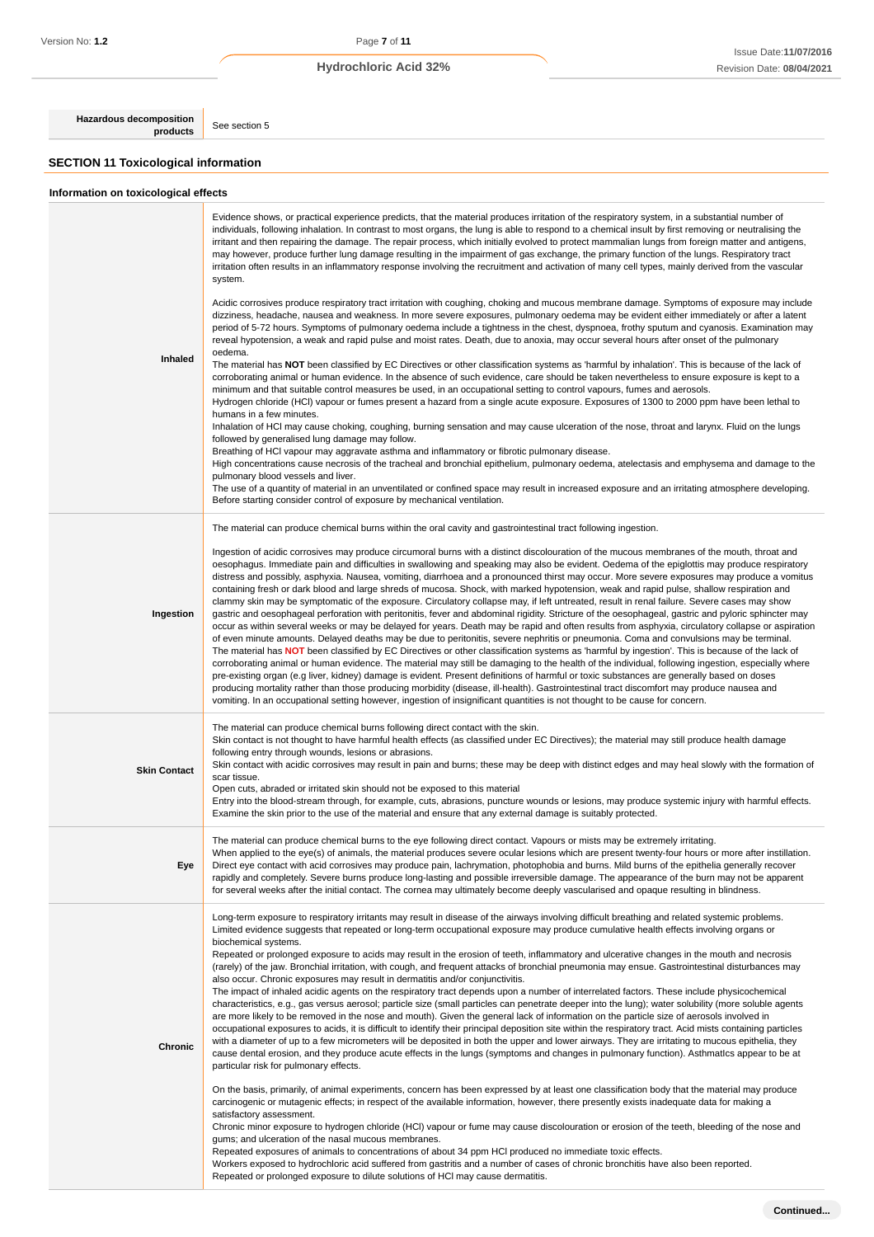**Hazardous decomposition**<br>**products** See section 5

# **SECTION 11 Toxicological information**

| Information on toxicological effects |                                                                                                                                                                                                                                                                                                                                                                                                                                                                                                                                                                                                                                                                                                                                                                                                                                                                                                                                                                                                                                                                                                                                                                                                                                                                                                                                                                                                                                                                                                                                                                                                                                                                                                                                                                                                                                                                                                                                                                                                                                                                                                                                                                                                                                                                                                                                                                                                                                                                                                                                                                                                                                                                                                  |
|--------------------------------------|--------------------------------------------------------------------------------------------------------------------------------------------------------------------------------------------------------------------------------------------------------------------------------------------------------------------------------------------------------------------------------------------------------------------------------------------------------------------------------------------------------------------------------------------------------------------------------------------------------------------------------------------------------------------------------------------------------------------------------------------------------------------------------------------------------------------------------------------------------------------------------------------------------------------------------------------------------------------------------------------------------------------------------------------------------------------------------------------------------------------------------------------------------------------------------------------------------------------------------------------------------------------------------------------------------------------------------------------------------------------------------------------------------------------------------------------------------------------------------------------------------------------------------------------------------------------------------------------------------------------------------------------------------------------------------------------------------------------------------------------------------------------------------------------------------------------------------------------------------------------------------------------------------------------------------------------------------------------------------------------------------------------------------------------------------------------------------------------------------------------------------------------------------------------------------------------------------------------------------------------------------------------------------------------------------------------------------------------------------------------------------------------------------------------------------------------------------------------------------------------------------------------------------------------------------------------------------------------------------------------------------------------------------------------------------------------------|
| Inhaled                              | Evidence shows, or practical experience predicts, that the material produces irritation of the respiratory system, in a substantial number of<br>individuals, following inhalation. In contrast to most organs, the lung is able to respond to a chemical insult by first removing or neutralising the<br>irritant and then repairing the damage. The repair process, which initially evolved to protect mammalian lungs from foreign matter and antigens,<br>may however, produce further lung damage resulting in the impairment of gas exchange, the primary function of the lungs. Respiratory tract<br>irritation often results in an inflammatory response involving the recruitment and activation of many cell types, mainly derived from the vascular<br>system.<br>Acidic corrosives produce respiratory tract irritation with coughing, choking and mucous membrane damage. Symptoms of exposure may include<br>dizziness, headache, nausea and weakness. In more severe exposures, pulmonary oedema may be evident either immediately or after a latent<br>period of 5-72 hours. Symptoms of pulmonary oedema include a tightness in the chest, dyspnoea, frothy sputum and cyanosis. Examination may<br>reveal hypotension, a weak and rapid pulse and moist rates. Death, due to anoxia, may occur several hours after onset of the pulmonary<br>oedema.<br>The material has NOT been classified by EC Directives or other classification systems as 'harmful by inhalation'. This is because of the lack of<br>corroborating animal or human evidence. In the absence of such evidence, care should be taken nevertheless to ensure exposure is kept to a<br>minimum and that suitable control measures be used, in an occupational setting to control vapours, fumes and aerosols.<br>Hydrogen chloride (HCI) vapour or fumes present a hazard from a single acute exposure. Exposures of 1300 to 2000 ppm have been lethal to<br>humans in a few minutes.<br>Inhalation of HCI may cause choking, coughing, burning sensation and may cause ulceration of the nose, throat and larynx. Fluid on the lungs<br>followed by generalised lung damage may follow.<br>Breathing of HCI vapour may aggravate asthma and inflammatory or fibrotic pulmonary disease.<br>High concentrations cause necrosis of the tracheal and bronchial epithelium, pulmonary oedema, atelectasis and emphysema and damage to the<br>pulmonary blood vessels and liver.<br>The use of a quantity of material in an unventilated or confined space may result in increased exposure and an irritating atmosphere developing.<br>Before starting consider control of exposure by mechanical ventilation. |
| Ingestion                            | The material can produce chemical burns within the oral cavity and gastrointestinal tract following ingestion.<br>Ingestion of acidic corrosives may produce circumoral burns with a distinct discolouration of the mucous membranes of the mouth, throat and<br>oesophagus. Immediate pain and difficulties in swallowing and speaking may also be evident. Oedema of the epiglottis may produce respiratory<br>distress and possibly, asphyxia. Nausea, vomiting, diarrhoea and a pronounced thirst may occur. More severe exposures may produce a vomitus<br>containing fresh or dark blood and large shreds of mucosa. Shock, with marked hypotension, weak and rapid pulse, shallow respiration and<br>clammy skin may be symptomatic of the exposure. Circulatory collapse may, if left untreated, result in renal failure. Severe cases may show<br>gastric and oesophageal perforation with peritonitis, fever and abdominal rigidity. Stricture of the oesophageal, gastric and pyloric sphincter may<br>occur as within several weeks or may be delayed for years. Death may be rapid and often results from asphyxia, circulatory collapse or aspiration<br>of even minute amounts. Delayed deaths may be due to peritonitis, severe nephritis or pneumonia. Coma and convulsions may be terminal.<br>The material has NOT been classified by EC Directives or other classification systems as 'harmful by ingestion'. This is because of the lack of<br>corroborating animal or human evidence. The material may still be damaging to the health of the individual, following ingestion, especially where<br>pre-existing organ (e.g liver, kidney) damage is evident. Present definitions of harmful or toxic substances are generally based on doses<br>producing mortality rather than those producing morbidity (disease, ill-health). Gastrointestinal tract discomfort may produce nausea and<br>vomiting. In an occupational setting however, ingestion of insignificant quantities is not thought to be cause for concern.                                                                                                                                                                                                                                                                                                                                                                                                                                                                                                                                                                                                                                                   |
| <b>Skin Contact</b>                  | The material can produce chemical burns following direct contact with the skin.<br>Skin contact is not thought to have harmful health effects (as classified under EC Directives); the material may still produce health damage<br>following entry through wounds, lesions or abrasions.<br>Skin contact with acidic corrosives may result in pain and burns; these may be deep with distinct edges and may heal slowly with the formation of<br>scar tissue.<br>Open cuts, abraded or irritated skin should not be exposed to this material<br>Entry into the blood-stream through, for example, cuts, abrasions, puncture wounds or lesions, may produce systemic injury with harmful effects.<br>Examine the skin prior to the use of the material and ensure that any external damage is suitably protected.                                                                                                                                                                                                                                                                                                                                                                                                                                                                                                                                                                                                                                                                                                                                                                                                                                                                                                                                                                                                                                                                                                                                                                                                                                                                                                                                                                                                                                                                                                                                                                                                                                                                                                                                                                                                                                                                                 |
| Eye                                  | The material can produce chemical burns to the eye following direct contact. Vapours or mists may be extremely irritating.<br>When applied to the eye(s) of animals, the material produces severe ocular lesions which are present twenty-four hours or more after instillation.<br>Direct eye contact with acid corrosives may produce pain, lachrymation, photophobia and burns. Mild burns of the epithelia generally recover<br>rapidly and completely. Severe burns produce long-lasting and possible irreversible damage. The appearance of the burn may not be apparent<br>for several weeks after the initial contact. The cornea may ultimately become deeply vascularised and opaque resulting in blindness.                                                                                                                                                                                                                                                                                                                                                                                                                                                                                                                                                                                                                                                                                                                                                                                                                                                                                                                                                                                                                                                                                                                                                                                                                                                                                                                                                                                                                                                                                                                                                                                                                                                                                                                                                                                                                                                                                                                                                                           |
| Chronic                              | Long-term exposure to respiratory irritants may result in disease of the airways involving difficult breathing and related systemic problems.<br>Limited evidence suggests that repeated or long-term occupational exposure may produce cumulative health effects involving organs or<br>biochemical systems.<br>Repeated or prolonged exposure to acids may result in the erosion of teeth, inflammatory and ulcerative changes in the mouth and necrosis<br>(rarely) of the jaw. Bronchial irritation, with cough, and frequent attacks of bronchial pneumonia may ensue. Gastrointestinal disturbances may<br>also occur. Chronic exposures may result in dermatitis and/or conjunctivitis.<br>The impact of inhaled acidic agents on the respiratory tract depends upon a number of interrelated factors. These include physicochemical<br>characteristics, e.g., gas versus aerosol; particle size (small particles can penetrate deeper into the lung); water solubility (more soluble agents<br>are more likely to be removed in the nose and mouth). Given the general lack of information on the particle size of aerosols involved in<br>occupational exposures to acids, it is difficult to identify their principal deposition site within the respiratory tract. Acid mists containing particles<br>with a diameter of up to a few micrometers will be deposited in both the upper and lower airways. They are irritating to mucous epithelia, they<br>cause dental erosion, and they produce acute effects in the lungs (symptoms and changes in pulmonary function). Asthmatics appear to be at<br>particular risk for pulmonary effects.<br>On the basis, primarily, of animal experiments, concern has been expressed by at least one classification body that the material may produce<br>carcinogenic or mutagenic effects; in respect of the available information, however, there presently exists inadequate data for making a<br>satisfactory assessment.<br>Chronic minor exposure to hydrogen chloride (HCI) vapour or fume may cause discolouration or erosion of the teeth, bleeding of the nose and<br>gums; and ulceration of the nasal mucous membranes.<br>Repeated exposures of animals to concentrations of about 34 ppm HCl produced no immediate toxic effects.<br>Workers exposed to hydrochloric acid suffered from gastritis and a number of cases of chronic bronchitis have also been reported.<br>Repeated or prolonged exposure to dilute solutions of HCI may cause dermatitis.                                                                                                                                                                       |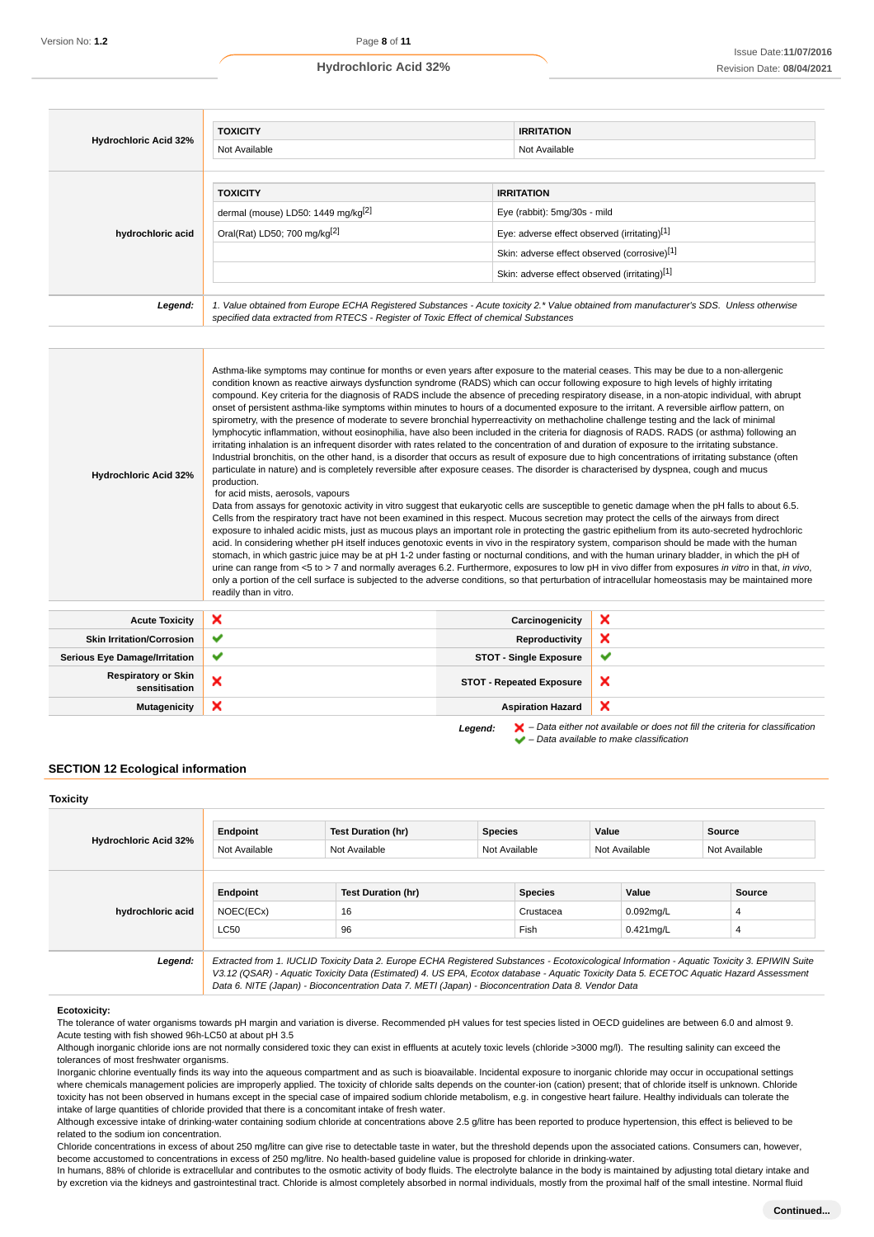| <b>Hydrochloric Acid 32%</b> | <b>TOXICITY</b><br>Not Available                                                                                                                                                                                                |                                                                                                                                                                                                    | <b>IRRITATION</b><br>Not Available |
|------------------------------|---------------------------------------------------------------------------------------------------------------------------------------------------------------------------------------------------------------------------------|----------------------------------------------------------------------------------------------------------------------------------------------------------------------------------------------------|------------------------------------|
| hydrochloric acid            | <b>TOXICITY</b><br>dermal (mouse) LD50: 1449 mg/kg <sup>[2]</sup><br>Oral(Rat) LD50; 700 mg/kg <sup>[2]</sup>                                                                                                                   | <b>IRRITATION</b><br>Eye (rabbit): 5mg/30s - mild<br>Eye: adverse effect observed (irritating)[1]<br>Skin: adverse effect observed (corrosive)[1]<br>Skin: adverse effect observed (irritating)[1] |                                    |
| Legend:                      | 1. Value obtained from Europe ECHA Registered Substances - Acute toxicity 2.* Value obtained from manufacturer's SDS. Unless otherwise<br>specified data extracted from RTECS - Register of Toxic Effect of chemical Substances |                                                                                                                                                                                                    |                                    |

| <b>Hydrochloric Acid 32%</b>     | Asthma-like symptoms may continue for months or even years after exposure to the material ceases. This may be due to a non-allergenic<br>condition known as reactive airways dysfunction syndrome (RADS) which can occur following exposure to high levels of highly irritating<br>compound. Key criteria for the diagnosis of RADS include the absence of preceding respiratory disease, in a non-atopic individual, with abrupt<br>onset of persistent asthma-like symptoms within minutes to hours of a documented exposure to the irritant. A reversible airflow pattern, on<br>spirometry, with the presence of moderate to severe bronchial hyperreactivity on methacholine challenge testing and the lack of minimal<br>lymphocytic inflammation, without eosinophilia, have also been included in the criteria for diagnosis of RADS. RADS (or asthma) following an<br>irritating inhalation is an infrequent disorder with rates related to the concentration of and duration of exposure to the irritating substance.<br>Industrial bronchitis, on the other hand, is a disorder that occurs as result of exposure due to high concentrations of irritating substance (often<br>particulate in nature) and is completely reversible after exposure ceases. The disorder is characterised by dyspnea, cough and mucus<br>production.<br>for acid mists, aerosols, vapours<br>Data from assays for genotoxic activity in vitro suggest that eukaryotic cells are susceptible to genetic damage when the pH falls to about 6.5.<br>Cells from the respiratory tract have not been examined in this respect. Mucous secretion may protect the cells of the airways from direct<br>exposure to inhaled acidic mists, just as mucous plays an important role in protecting the gastric epithelium from its auto-secreted hydrochloric<br>acid. In considering whether pH itself induces genotoxic events in vivo in the respiratory system, comparison should be made with the human<br>stomach, in which gastric juice may be at pH 1-2 under fasting or nocturnal conditions, and with the human urinary bladder, in which the pH of<br>readily than in vitro. |                       | urine can range from <5 to > 7 and normally averages 6.2. Furthermore, exposures to low pH in vivo differ from exposures in vitro in that, in vivo,<br>only a portion of the cell surface is subjected to the adverse conditions, so that perturbation of intracellular homeostasis may be maintained more |
|----------------------------------|----------------------------------------------------------------------------------------------------------------------------------------------------------------------------------------------------------------------------------------------------------------------------------------------------------------------------------------------------------------------------------------------------------------------------------------------------------------------------------------------------------------------------------------------------------------------------------------------------------------------------------------------------------------------------------------------------------------------------------------------------------------------------------------------------------------------------------------------------------------------------------------------------------------------------------------------------------------------------------------------------------------------------------------------------------------------------------------------------------------------------------------------------------------------------------------------------------------------------------------------------------------------------------------------------------------------------------------------------------------------------------------------------------------------------------------------------------------------------------------------------------------------------------------------------------------------------------------------------------------------------------------------------------------------------------------------------------------------------------------------------------------------------------------------------------------------------------------------------------------------------------------------------------------------------------------------------------------------------------------------------------------------------------------------------------------------------------------------------------------------------------------------------------------------|-----------------------|------------------------------------------------------------------------------------------------------------------------------------------------------------------------------------------------------------------------------------------------------------------------------------------------------------|
| <b>Acute Toxicity</b>            | ×                                                                                                                                                                                                                                                                                                                                                                                                                                                                                                                                                                                                                                                                                                                                                                                                                                                                                                                                                                                                                                                                                                                                                                                                                                                                                                                                                                                                                                                                                                                                                                                                                                                                                                                                                                                                                                                                                                                                                                                                                                                                                                                                                                    | Carcinogenicity       | ×                                                                                                                                                                                                                                                                                                          |
| <b>Skin Irritation/Corrosion</b> | ັ                                                                                                                                                                                                                                                                                                                                                                                                                                                                                                                                                                                                                                                                                                                                                                                                                                                                                                                                                                                                                                                                                                                                                                                                                                                                                                                                                                                                                                                                                                                                                                                                                                                                                                                                                                                                                                                                                                                                                                                                                                                                                                                                                                    | <b>Reproductivity</b> |                                                                                                                                                                                                                                                                                                            |

| <b>Acute Toxicity</b>                       | ↗            | Carcinogenicity                 | ↗                                                                                                                                             |
|---------------------------------------------|--------------|---------------------------------|-----------------------------------------------------------------------------------------------------------------------------------------------|
| <b>Skin Irritation/Corrosion</b>            | $\checkmark$ | Reproductivity                  |                                                                                                                                               |
| <b>Serious Eye Damage/Irritation</b>        | $\checkmark$ | <b>STOT - Single Exposure</b>   | $\overline{\phantom{a}}$                                                                                                                      |
| <b>Respiratory or Skin</b><br>sensitisation | ↗            | <b>STOT - Repeated Exposure</b> | ×                                                                                                                                             |
| <b>Mutagenicity</b>                         | ж            | <b>Aspiration Hazard</b>        | ×                                                                                                                                             |
|                                             |              | Legend:                         | $\blacktriangleright$ - Data either not available or does not fill the criteria for classification<br>- Data available to make classification |

# **SECTION 12 Ecological information**

| <b>Toxicity</b>              |                       |                                                                                                                                                                                                                                                                                                                                                                                                 |                |                             |       |                                |        |             |
|------------------------------|-----------------------|-------------------------------------------------------------------------------------------------------------------------------------------------------------------------------------------------------------------------------------------------------------------------------------------------------------------------------------------------------------------------------------------------|----------------|-----------------------------|-------|--------------------------------|--------|-------------|
| <b>Hydrochloric Acid 32%</b> | Endpoint              | <b>Test Duration (hr)</b>                                                                                                                                                                                                                                                                                                                                                                       | <b>Species</b> |                             | Value |                                | Source |             |
|                              | Not Available         | Not Available                                                                                                                                                                                                                                                                                                                                                                                   |                | Not Available               |       | Not Available<br>Not Available |        |             |
| hydrochloric acid            | Endpoint<br>NOEC(ECx) | <b>Test Duration (hr)</b><br>16                                                                                                                                                                                                                                                                                                                                                                 |                | <b>Species</b><br>Crustacea |       | Value<br>$0.092$ mg/L          |        | Source<br>4 |
|                              | <b>LC50</b>           | 96                                                                                                                                                                                                                                                                                                                                                                                              |                | Fish                        |       | $0.421$ mg/L                   |        | 4           |
| Legend:                      |                       | Extracted from 1. IUCLID Toxicity Data 2. Europe ECHA Registered Substances - Ecotoxicological Information - Aquatic Toxicity 3. EPIWIN Suite<br>V3.12 (QSAR) - Aquatic Toxicity Data (Estimated) 4. US EPA, Ecotox database - Aquatic Toxicity Data 5. ECETOC Aquatic Hazard Assessment<br>Data 6. NITE (Japan) - Bioconcentration Data 7. METI (Japan) - Bioconcentration Data 8. Vendor Data |                |                             |       |                                |        |             |

#### **Ecotoxicity:**

The tolerance of water organisms towards pH margin and variation is diverse. Recommended pH values for test species listed in OECD guidelines are between 6.0 and almost 9. Acute testing with fish showed 96h-LC50 at about pH 3.5

Although inorganic chloride ions are not normally considered toxic they can exist in effluents at acutely toxic levels (chloride >3000 mg/l). The resulting salinity can exceed the tolerances of most freshwater organisms.

Inorganic chlorine eventually finds its way into the aqueous compartment and as such is bioavailable. Incidental exposure to inorganic chloride may occur in occupational settings where chemicals management policies are improperly applied. The toxicity of chloride salts depends on the counter-ion (cation) present; that of chloride itself is unknown. Chloride toxicity has not been observed in humans except in the special case of impaired sodium chloride metabolism, e.g. in congestive heart failure. Healthy individuals can tolerate the intake of large quantities of chloride provided that there is a concomitant intake of fresh water.

Although excessive intake of drinking-water containing sodium chloride at concentrations above 2.5 g/litre has been reported to produce hypertension, this effect is believed to be related to the sodium ion concentration.

Chloride concentrations in excess of about 250 mg/litre can give rise to detectable taste in water, but the threshold depends upon the associated cations. Consumers can, however, become accustomed to concentrations in excess of 250 mg/litre. No health-based guideline value is proposed for chloride in drinking-water.

In humans, 88% of chloride is extracellular and contributes to the osmotic activity of body fluids. The electrolyte balance in the body is maintained by adjusting total dietary intake and by excretion via the kidneys and gastrointestinal tract. Chloride is almost completely absorbed in normal individuals, mostly from the proximal half of the small intestine. Normal fluid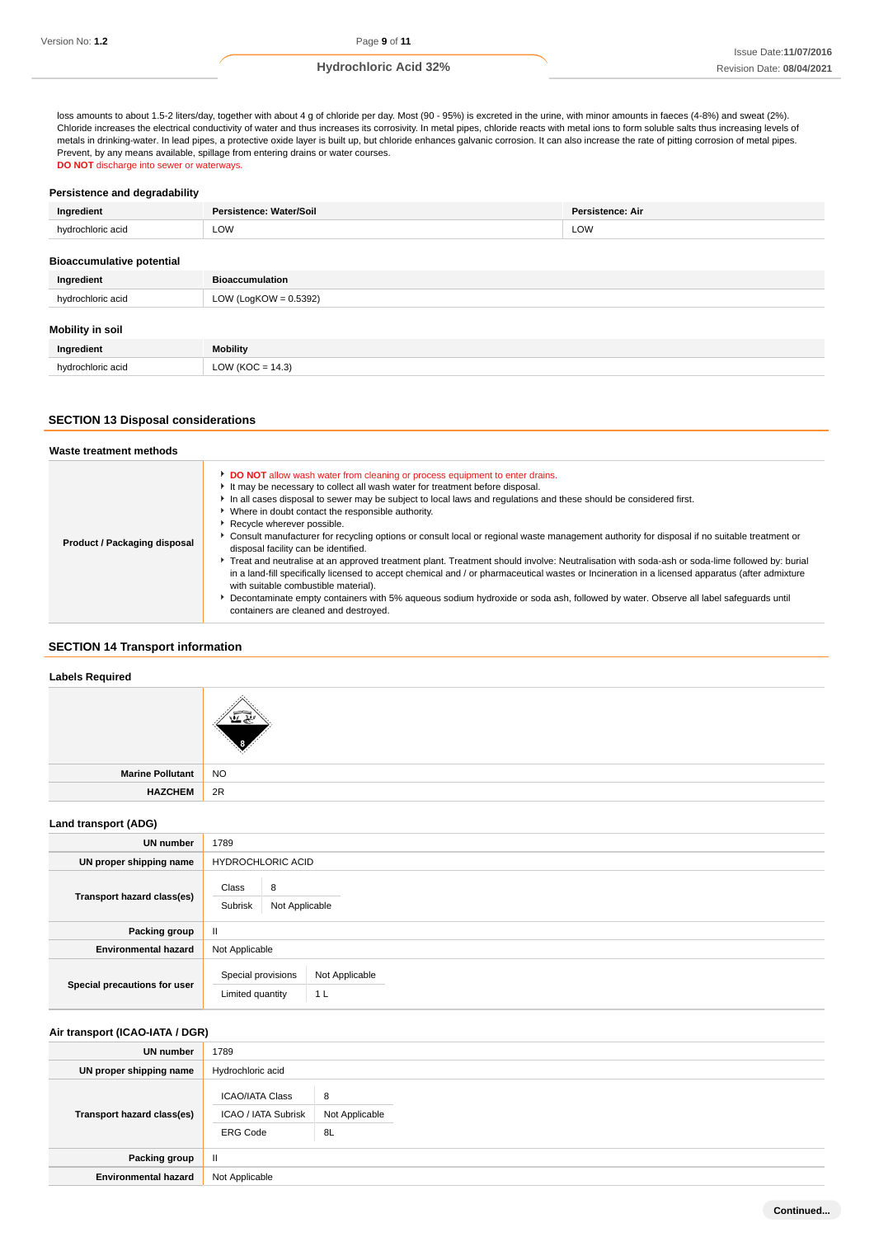loss amounts to about 1.5-2 liters/day, together with about 4 g of chloride per day. Most (90 - 95%) is excreted in the urine, with minor amounts in faeces (4-8%) and sweat (2%). Chloride increases the electrical conductivity of water and thus increases its corrosivity. In metal pipes, chloride reacts with metal ions to form soluble salts thus increasing levels of metals in drinking-water. In lead pipes, a protective oxide layer is built up, but chloride enhances galvanic corrosion. It can also increase the rate of pitting corrosion of metal pipes. Prevent, by any means available, spillage from entering drains or water courses. **DO NOT** discharge into sewer or waterways.

# **Persistence and degradability**

| Ingredient                       | Persistence: Water/Soil  | Persistence: Air |
|----------------------------------|--------------------------|------------------|
| hydrochloric acid                | <b>LOW</b>               | LOW              |
| <b>Bioaccumulative potential</b> |                          |                  |
| Ingredient                       | <b>Bioaccumulation</b>   |                  |
| hydrochloric acid                | LOW (LogKOW = $0.5392$ ) |                  |
| Mobility in soil                 |                          |                  |
| The company of the contract of   |                          |                  |

| Ingredient                   | Mobility |
|------------------------------|----------|
| hudrochloric acid<br>$\cdot$ | ∩w       |

# **SECTION 13 Disposal considerations**

| Waste treatment methods      |                                                                                                                                                                                                                                                                                                                                                                                                                                                                                                                                                                                                                                                                                                                                                                                                                                                                                                                                                                                                                                                                                      |
|------------------------------|--------------------------------------------------------------------------------------------------------------------------------------------------------------------------------------------------------------------------------------------------------------------------------------------------------------------------------------------------------------------------------------------------------------------------------------------------------------------------------------------------------------------------------------------------------------------------------------------------------------------------------------------------------------------------------------------------------------------------------------------------------------------------------------------------------------------------------------------------------------------------------------------------------------------------------------------------------------------------------------------------------------------------------------------------------------------------------------|
| Product / Packaging disposal | DO NOT allow wash water from cleaning or process equipment to enter drains.<br>It may be necessary to collect all wash water for treatment before disposal.<br>In all cases disposal to sewer may be subject to local laws and regulations and these should be considered first.<br>Where in doubt contact the responsible authority.<br>Recycle wherever possible.<br>Consult manufacturer for recycling options or consult local or regional waste management authority for disposal if no suitable treatment or<br>disposal facility can be identified.<br>Freat and neutralise at an approved treatment plant. Treatment should involve: Neutralisation with soda-ash or soda-lime followed by: burial<br>in a land-fill specifically licensed to accept chemical and / or pharmaceutical wastes or Incineration in a licensed apparatus (after admixture<br>with suitable combustible material).<br>Decontaminate empty containers with 5% aqueous sodium hydroxide or soda ash, followed by water. Observe all label safequards until<br>containers are cleaned and destroyed. |

## **SECTION 14 Transport information**

# **Labels Required**

| Marine Pollutant | ' NO |
|------------------|------|
| <b>HAZCHEM</b>   | 2R   |
|                  |      |

#### **Land transport (ADG)**

| UN number                    | 1789                                                                       |
|------------------------------|----------------------------------------------------------------------------|
| UN proper shipping name      | <b>HYDROCHLORIC ACID</b>                                                   |
| Transport hazard class(es)   | Class<br>8<br>Subrisk<br>Not Applicable                                    |
| Packing group                | Ш                                                                          |
| <b>Environmental hazard</b>  | Not Applicable                                                             |
| Special precautions for user | Special provisions<br>Not Applicable<br>Limited quantity<br>1 <sub>L</sub> |

# **Air transport (ICAO-IATA / DGR)**

| <b>UN number</b>            | 1789                                                             |                           |
|-----------------------------|------------------------------------------------------------------|---------------------------|
| UN proper shipping name     | Hydrochloric acid                                                |                           |
| Transport hazard class(es)  | <b>ICAO/IATA Class</b><br>ICAO / IATA Subrisk<br><b>ERG Code</b> | 8<br>Not Applicable<br>8L |
| Packing group               | Ш                                                                |                           |
| <b>Environmental hazard</b> | Not Applicable                                                   |                           |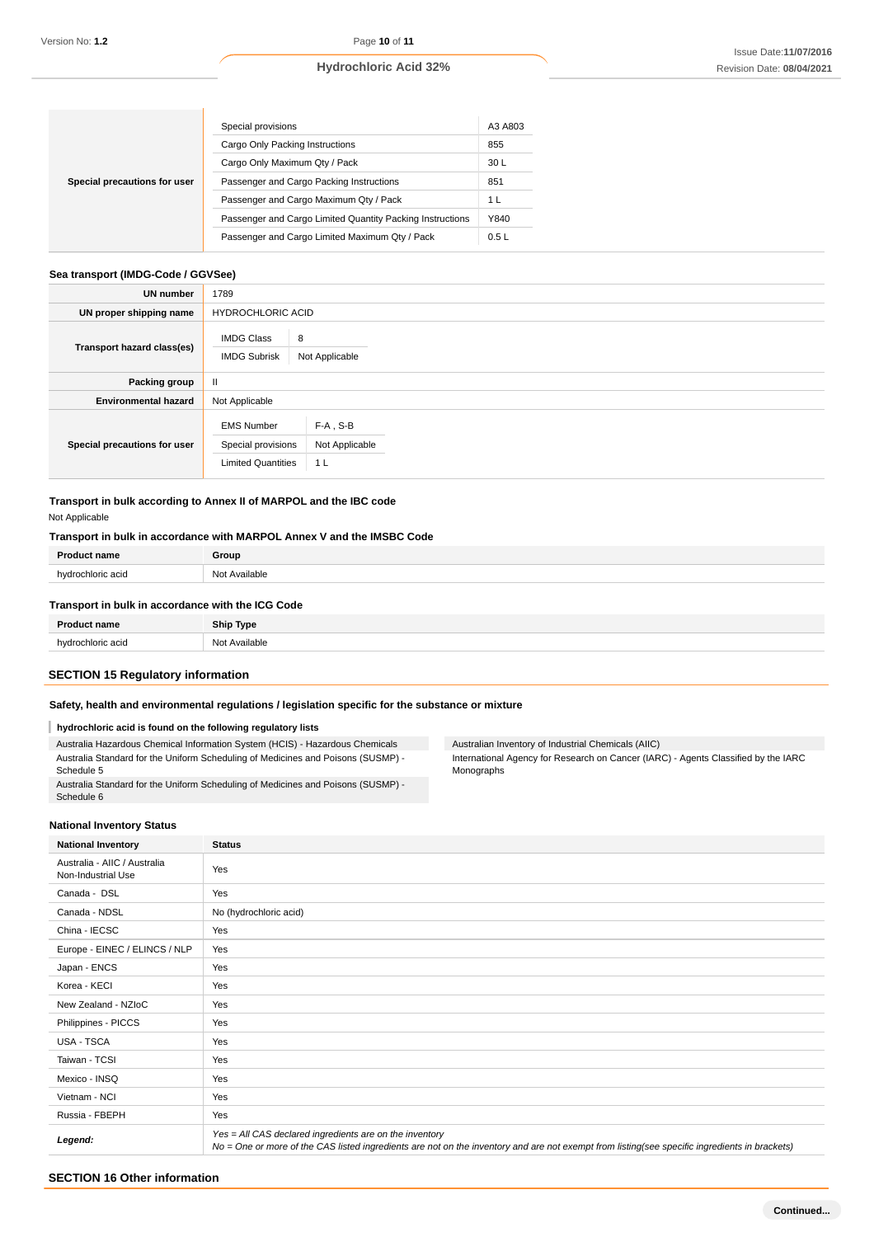| Special precautions for user | Special provisions                                        | A3 A803 |
|------------------------------|-----------------------------------------------------------|---------|
|                              | Cargo Only Packing Instructions                           | 855     |
|                              | Cargo Only Maximum Qty / Pack                             | 30 L    |
|                              | Passenger and Cargo Packing Instructions                  | 851     |
|                              | Passenger and Cargo Maximum Qty / Pack                    | 1 L     |
|                              | Passenger and Cargo Limited Quantity Packing Instructions | Y840    |
|                              | Passenger and Cargo Limited Maximum Qty / Pack            | 0.5L    |

# **Sea transport (IMDG-Code / GGVSee)**

| UN number                    | 1789                                                                 |                                                 |  |  |
|------------------------------|----------------------------------------------------------------------|-------------------------------------------------|--|--|
| UN proper shipping name      |                                                                      | <b>HYDROCHLORIC ACID</b>                        |  |  |
| Transport hazard class(es)   | <b>IMDG Class</b><br><b>IMDG Subrisk</b>                             | 8<br>Not Applicable                             |  |  |
| Packing group                | Ш                                                                    |                                                 |  |  |
| <b>Environmental hazard</b>  | Not Applicable                                                       |                                                 |  |  |
| Special precautions for user | <b>EMS Number</b><br>Special provisions<br><b>Limited Quantities</b> | $F-A$ , S-B<br>Not Applicable<br>1 <sub>L</sub> |  |  |

**Transport in bulk according to Annex II of MARPOL and the IBC code** Not Applicable

# **Transport in bulk in accordance with MARPOL Annex V and the IMSBC Code**

| <b>Product name</b> | Group         |
|---------------------|---------------|
| hydrochloric acid   | Not Available |
|                     |               |

## **Transport in bulk in accordance with the ICG Code**

| <b>Product name</b> | <b>Ship Type</b> |
|---------------------|------------------|
| hvdrochloric acid   | Not Available    |
|                     |                  |

# **SECTION 15 Regulatory information**

# **Safety, health and environmental regulations / legislation specific for the substance or mixture**

# **hydrochloric acid is found on the following regulatory lists**

Australia Hazardous Chemical Information System (HCIS) - Hazardous Chemicals Australia Standard for the Uniform Scheduling of Medicines and Poisons (SUSMP) - Schedule 5 Australia Standard for the Uniform Scheduling of Medicines and Poisons (SUSMP) - Australian Inventory of Industrial Chemicals (AIIC)

International Agency for Research on Cancer (IARC) - Agents Classified by the IARC Monographs

#### **National Inventory Status**

| National Inventory Status |  |
|---------------------------|--|
|                           |  |

Schedule 6

| <b>National Inventory</b>                          | <b>Status</b>                                                                                                                                                                                            |
|----------------------------------------------------|----------------------------------------------------------------------------------------------------------------------------------------------------------------------------------------------------------|
| Australia - AIIC / Australia<br>Non-Industrial Use | Yes                                                                                                                                                                                                      |
| Canada - DSL                                       | Yes                                                                                                                                                                                                      |
| Canada - NDSL                                      | No (hydrochloric acid)                                                                                                                                                                                   |
| China - IECSC                                      | Yes                                                                                                                                                                                                      |
| Europe - EINEC / ELINCS / NLP                      | Yes                                                                                                                                                                                                      |
| Japan - ENCS                                       | Yes                                                                                                                                                                                                      |
| Korea - KECI                                       | Yes                                                                                                                                                                                                      |
| New Zealand - NZIoC                                | Yes                                                                                                                                                                                                      |
| Philippines - PICCS                                | Yes                                                                                                                                                                                                      |
| USA - TSCA                                         | Yes                                                                                                                                                                                                      |
| Taiwan - TCSI                                      | Yes                                                                                                                                                                                                      |
| Mexico - INSQ                                      | Yes                                                                                                                                                                                                      |
| Vietnam - NCI                                      | Yes                                                                                                                                                                                                      |
| Russia - FBEPH                                     | Yes                                                                                                                                                                                                      |
| Legend:                                            | Yes = All CAS declared ingredients are on the inventory<br>No = One or more of the CAS listed ingredients are not on the inventory and are not exempt from listing(see specific ingredients in brackets) |

# **SECTION 16 Other information**